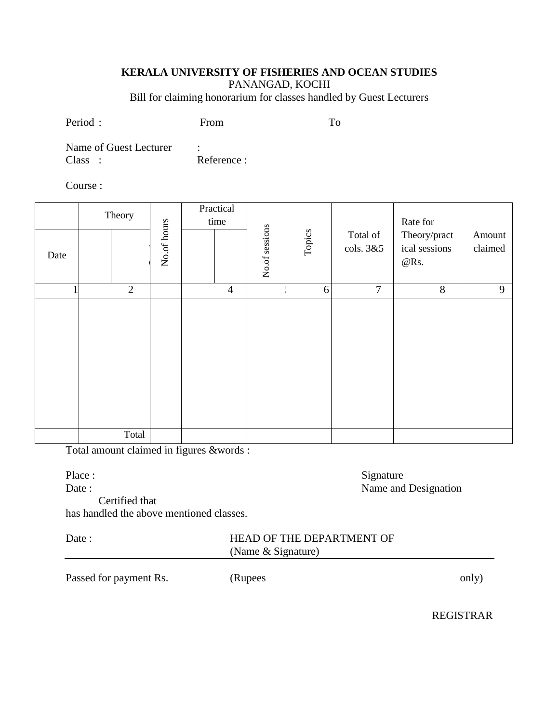#### **KERALA UNIVERSITY OF FISHERIES AND OCEAN STUDIES**

PANANGAD, KOCHI

Bill for claiming honorarium for classes handled by Guest Lecturers

Period : From To

Name of Guest Lecturer : Class : Reference :

Course :

|      | Theory         |             | Practical<br>time |                |        | Total of<br>cols. 3&5 | Rate for<br>Theory/pract<br>ical sessions<br>$@$ Rs. | Amount<br>claimed |
|------|----------------|-------------|-------------------|----------------|--------|-----------------------|------------------------------------------------------|-------------------|
| Date |                | No.of hours |                   | No.of sessions | Topics |                       |                                                      |                   |
|      | $\overline{2}$ |             | $\overline{4}$    |                | 6      | $\boldsymbol{7}$      | $8\,$                                                | 9                 |
|      |                |             |                   |                |        |                       |                                                      |                   |
|      | Total          |             |                   |                |        |                       |                                                      |                   |

Total amount claimed in figures &words :

Place : Signature

Date : Name and Designation

#### Certified that

has handled the above mentioned classes.

| лге |  |
|-----|--|
|     |  |

## HEAD OF THE DEPARTMENT OF (Name & Signature)

Passed for payment Rs. (Rupees only)

REGISTRAR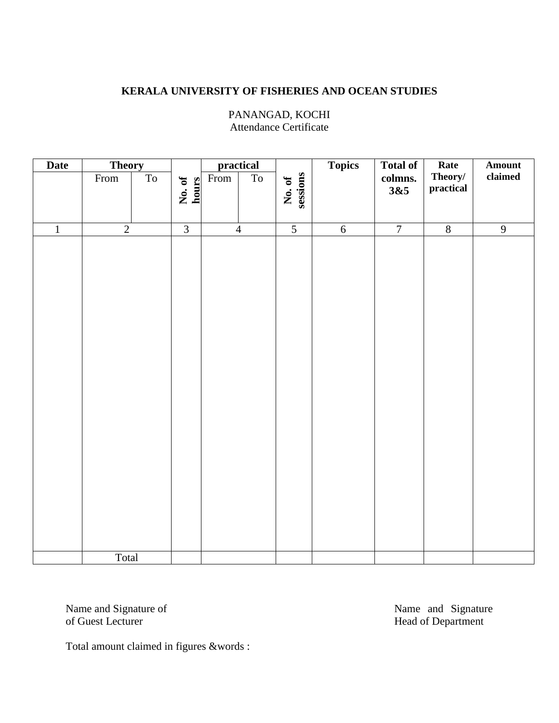# **KERALA UNIVERSITY OF FISHERIES AND OCEAN STUDIES**

| <b>Date</b>    | <b>Theory</b>                             |                          |                 |      | practical      |                    | <b>Topics</b>  | <b>Total of</b> | Rate                      | Amount         |
|----------------|-------------------------------------------|--------------------------|-----------------|------|----------------|--------------------|----------------|-----------------|---------------------------|----------------|
|                | $\ensuremath{\textnormal{\textbf{From}}}$ | $\overline{\mathrm{To}}$ | No. of<br>hours | From | T <sub>0</sub> | sessions<br>No. of |                | colmns.<br>3&5  | Theory/ $\,$<br>practical | $\bf claimed$  |
|                |                                           |                          |                 |      |                |                    |                |                 |                           |                |
| $\overline{1}$ | $\overline{2}$                            |                          | $\overline{3}$  |      | $\overline{4}$ | $\overline{5}$     | $\overline{6}$ | $\overline{7}$  | $\sqrt{8}$                | $\overline{9}$ |
|                | Total                                     |                          |                 |      |                |                    |                |                 |                           |                |
|                |                                           |                          |                 |      |                |                    |                |                 |                           |                |

#### PANANGAD, KOCHI Attendance Certificate

Name and Signature of Name and Signature of Name and Signature of Guest Lecturer Head of Department

Total amount claimed in figures &words :